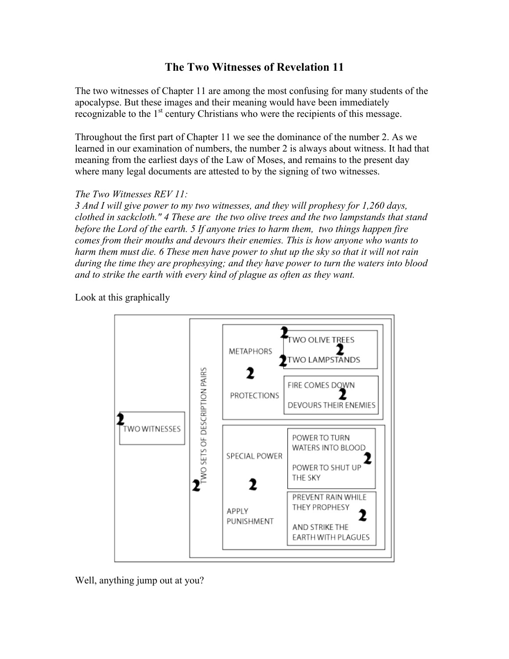## **The Two Witnesses of Revelation 11**

The two witnesses of Chapter 11 are among the most confusing for many students of the apocalypse. But these images and their meaning would have been immediately recognizable to the  $1<sup>st</sup>$  century Christians who were the recipients of this message.

Throughout the first part of Chapter 11 we see the dominance of the number 2. As we learned in our examination of numbers, the number 2 is always about witness. It had that meaning from the earliest days of the Law of Moses, and remains to the present day where many legal documents are attested to by the signing of two witnesses.

## *The Two Witnesses REV 11:*

*3 And I will give power to my two witnesses, and they will prophesy for 1,260 days, clothed in sackcloth." 4 These are the two olive trees and the two lampstands that stand before the Lord of the earth. 5 If anyone tries to harm them, two things happen fire comes from their mouths and devours their enemies. This is how anyone who wants to harm them must die. 6 These men have power to shut up the sky so that it will not rain during the time they are prophesying; and they have power to turn the waters into blood and to strike the earth with every kind of plague as often as they want.*

Look at this graphically



Well, anything jump out at you?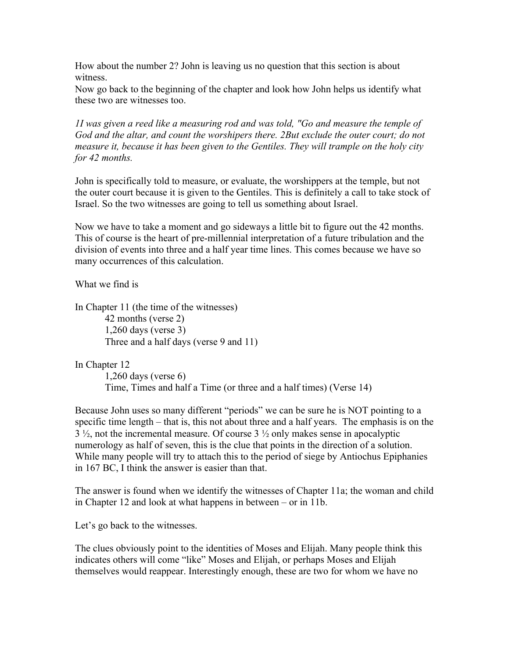How about the number 2? John is leaving us no question that this section is about witness.

Now go back to the beginning of the chapter and look how John helps us identify what these two are witnesses too.

*1I was given a reed like a measuring rod and was told, "Go and measure the temple of God and the altar, and count the worshipers there. 2But exclude the outer court; do not measure it, because it has been given to the Gentiles. They will trample on the holy city for 42 months.*

John is specifically told to measure, or evaluate, the worshippers at the temple, but not the outer court because it is given to the Gentiles. This is definitely a call to take stock of Israel. So the two witnesses are going to tell us something about Israel.

Now we have to take a moment and go sideways a little bit to figure out the 42 months. This of course is the heart of pre-millennial interpretation of a future tribulation and the division of events into three and a half year time lines. This comes because we have so many occurrences of this calculation.

What we find is

In Chapter 11 (the time of the witnesses) 42 months (verse 2) 1,260 days (verse 3) Three and a half days (verse 9 and 11)

In Chapter 12

1,260 days (verse 6) Time, Times and half a Time (or three and a half times) (Verse 14)

Because John uses so many different "periods" we can be sure he is NOT pointing to a specific time length – that is, this not about three and a half years. The emphasis is on the 3 ½, not the incremental measure. Of course 3 ½ only makes sense in apocalyptic numerology as half of seven, this is the clue that points in the direction of a solution. While many people will try to attach this to the period of siege by Antiochus Epiphanies in 167 BC, I think the answer is easier than that.

The answer is found when we identify the witnesses of Chapter 11a; the woman and child in Chapter 12 and look at what happens in between – or in 11b.

Let's go back to the witnesses.

The clues obviously point to the identities of Moses and Elijah. Many people think this indicates others will come "like" Moses and Elijah, or perhaps Moses and Elijah themselves would reappear. Interestingly enough, these are two for whom we have no